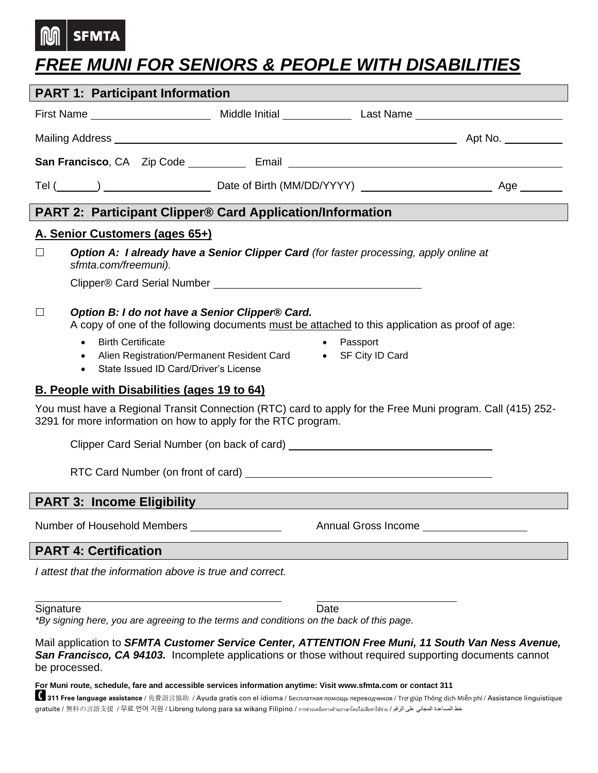## **SFMTA**

## *FREE MUNI FOR SENIORS & PEOPLE WITH DISABILITIES*

| <b>PART 1: Participant Information</b>                                                                                                                                                                                                                                                                                       |  |  |  |  |  |  |  |  |
|------------------------------------------------------------------------------------------------------------------------------------------------------------------------------------------------------------------------------------------------------------------------------------------------------------------------------|--|--|--|--|--|--|--|--|
|                                                                                                                                                                                                                                                                                                                              |  |  |  |  |  |  |  |  |
| Mailing Address <b>Automatic Contract Contract Contract Contract Contract Contract Contract Contract Contract Contract Contract Contract Contract Contract Contract Contract Contract Contract Contract Contract Contract Contra</b><br>Apt No. ___________                                                                  |  |  |  |  |  |  |  |  |
|                                                                                                                                                                                                                                                                                                                              |  |  |  |  |  |  |  |  |
|                                                                                                                                                                                                                                                                                                                              |  |  |  |  |  |  |  |  |
|                                                                                                                                                                                                                                                                                                                              |  |  |  |  |  |  |  |  |
| <b>PART 2: Participant Clipper® Card Application/Information</b>                                                                                                                                                                                                                                                             |  |  |  |  |  |  |  |  |
| A. Senior Customers (ages 65+)<br><b>Option A: I already have a Senior Clipper Card</b> (for faster processing, apply online at<br>$\perp$<br>sfmta.com/freemuni).                                                                                                                                                           |  |  |  |  |  |  |  |  |
| Option B: I do not have a Senior Clipper® Card.<br>$\perp$<br>A copy of one of the following documents must be attached to this application as proof of age:<br><b>Birth Certificate</b><br>• Passport<br>$\bullet$<br>Alien Registration/Permanent Resident Card • SF City ID Card<br>State Issued ID Card/Driver's License |  |  |  |  |  |  |  |  |
| <b>B. People with Disabilities (ages 19 to 64)</b>                                                                                                                                                                                                                                                                           |  |  |  |  |  |  |  |  |
| You must have a Regional Transit Connection (RTC) card to apply for the Free Muni program. Call (415) 252-<br>3291 for more information on how to apply for the RTC program.                                                                                                                                                 |  |  |  |  |  |  |  |  |
| Clipper Card Serial Number (on back of card) ___________________________________                                                                                                                                                                                                                                             |  |  |  |  |  |  |  |  |
|                                                                                                                                                                                                                                                                                                                              |  |  |  |  |  |  |  |  |
| <b>PART 3: Income Eligibility</b>                                                                                                                                                                                                                                                                                            |  |  |  |  |  |  |  |  |
|                                                                                                                                                                                                                                                                                                                              |  |  |  |  |  |  |  |  |
| <b>PART 4: Certification</b>                                                                                                                                                                                                                                                                                                 |  |  |  |  |  |  |  |  |
| I attest that the information above is true and correct.                                                                                                                                                                                                                                                                     |  |  |  |  |  |  |  |  |
| Signature<br>Date<br>*By signing here, you are agreeing to the terms and conditions on the back of this page.                                                                                                                                                                                                                |  |  |  |  |  |  |  |  |

Mail application to *SFMTA Customer Service Center, ATTENTION Free Muni, 11 South Van Ness Avenue,*  **San Francisco, CA 94103.** Incomplete applications or those without required supporting documents cannot be processed.

**For Muni route, schedule, fare and accessible services information anytime: Visit www.sfmta.com or contact 311** 

**【1911 Free language assistance** / 免費語言協助 / Ayuda gratis con el idioma / Бесплатная помощь переводчиков / Trợ giúp Thông dịch Miễn phí / Assistance linguistique gratuite / 無料の言語支援 / 무료 언어 지원 / Libreng tulong para sa wikang Filipino / การช่วยเหลือทางด้านภาษาโดยไม่เสียค่าใช้จ่าย / الرقم على المجاني المساعدة خط